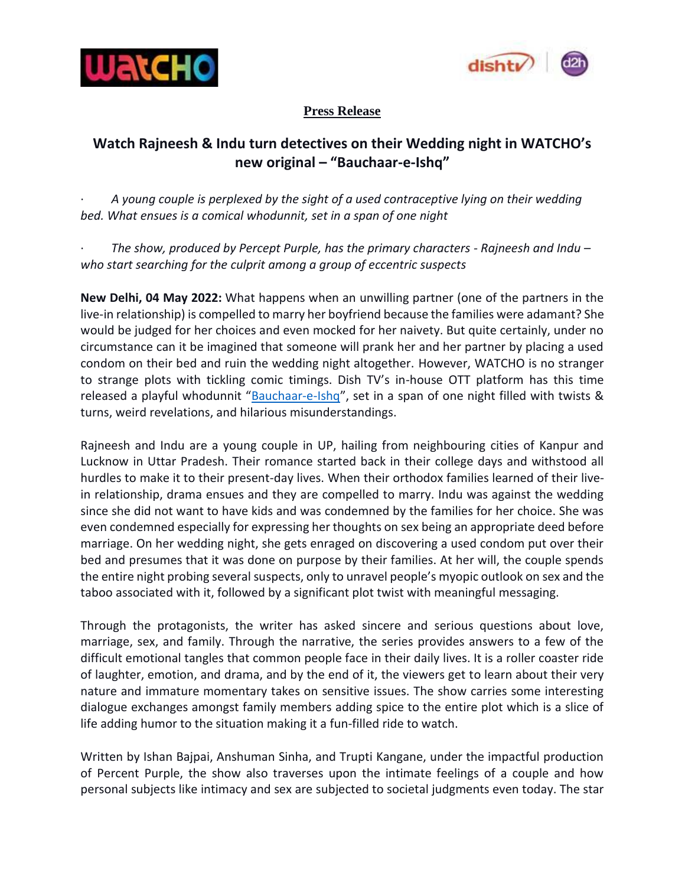



## **Press Release**

## **Watch Rajneesh & Indu turn detectives on their Wedding night in WATCHO's new original – "Bauchaar-e-Ishq"**

· *A young couple is perplexed by the sight of a used contraceptive lying on their wedding bed. What ensues is a comical whodunnit, set in a span of one night*

· *The show, produced by Percept Purple, has the primary characters - Rajneesh and Indu – who start searching for the culprit among a group of eccentric suspects*

**New Delhi, 04 May 2022:** What happens when an unwilling partner (one of the partners in the live-in relationship) is compelled to marry her boyfriend because the families were adamant? She would be judged for her choices and even mocked for her naivety. But quite certainly, under no circumstance can it be imagined that someone will prank her and her partner by placing a used condom on their bed and ruin the wedding night altogether. However, WATCHO is no stranger to strange plots with tickling comic timings. Dish TV's in-house OTT platform has this time released a playful whodunnit "[Bauchaar-e-Ishq](https://www.watcho.com/watch/clip/details/bauchaar-e-ishq%2520-%2520trailer/1297770)", set in a span of one night filled with twists & turns, weird revelations, and hilarious misunderstandings.

Rajneesh and Indu are a young couple in UP, hailing from neighbouring cities of Kanpur and Lucknow in Uttar Pradesh. Their romance started back in their college days and withstood all hurdles to make it to their present-day lives. When their orthodox families learned of their livein relationship, drama ensues and they are compelled to marry. Indu was against the wedding since she did not want to have kids and was condemned by the families for her choice. She was even condemned especially for expressing her thoughts on sex being an appropriate deed before marriage. On her wedding night, she gets enraged on discovering a used condom put over their bed and presumes that it was done on purpose by their families. At her will, the couple spends the entire night probing several suspects, only to unravel people's myopic outlook on sex and the taboo associated with it, followed by a significant plot twist with meaningful messaging.

Through the protagonists, the writer has asked sincere and serious questions about love, marriage, sex, and family. Through the narrative, the series provides answers to a few of the difficult emotional tangles that common people face in their daily lives. It is a roller coaster ride of laughter, emotion, and drama, and by the end of it, the viewers get to learn about their very nature and immature momentary takes on sensitive issues. The show carries some interesting dialogue exchanges amongst family members adding spice to the entire plot which is a slice of life adding humor to the situation making it a fun-filled ride to watch.

Written by Ishan Bajpai, Anshuman Sinha, and Trupti Kangane, under the impactful production of Percent Purple, the show also traverses upon the intimate feelings of a couple and how personal subjects like intimacy and sex are subjected to societal judgments even today. The star